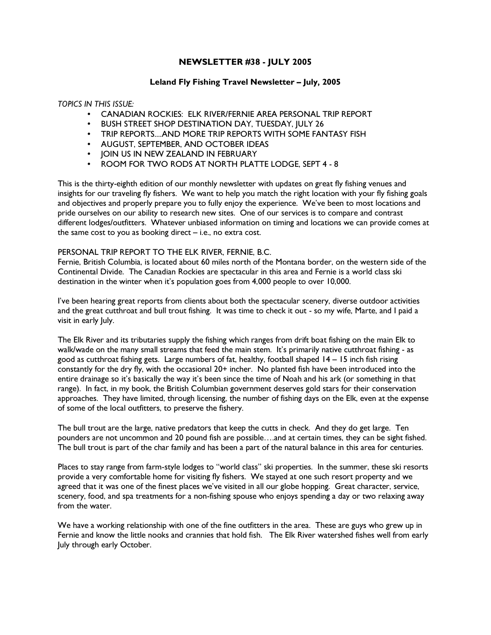# NEWSLETTER #38 - JULY 2005

### Leland Fly Fishing Travel Newsletter – July, 2005

#### TOPICS IN THIS ISSUE:

- CANADIAN ROCKIES: ELK RIVER/FERNIE AREA PERSONAL TRIP REPORT
- BUSH STREET SHOP DESTINATION DAY, TUESDAY, JULY 26
- TRIP REPORTS....AND MORE TRIP REPORTS WITH SOME FANTASY FISH
- AUGUST, SEPTEMBER, AND OCTOBER IDEAS
- JOIN US IN NEW ZEALAND IN FEBRUARY
- ROOM FOR TWO RODS AT NORTH PLATTE LODGE, SEPT 4 8

This is the thirty-eighth edition of our monthly newsletter with updates on great fly fishing venues and insights for our traveling fly fishers. We want to help you match the right location with your fly fishing goals and objectives and properly prepare you to fully enjoy the experience. We've been to most locations and pride ourselves on our ability to research new sites. One of our services is to compare and contrast different lodges/outfitters. Whatever unbiased information on timing and locations we can provide comes at the same cost to you as booking direct – i.e., no extra cost.

#### PERSONAL TRIP REPORT TO THE ELK RIVER, FERNIE, B.C.

Fernie, British Columbia, is located about 60 miles north of the Montana border, on the western side of the Continental Divide. The Canadian Rockies are spectacular in this area and Fernie is a world class ski destination in the winter when it's population goes from 4,000 people to over 10,000.

I've been hearing great reports from clients about both the spectacular scenery, diverse outdoor activities and the great cutthroat and bull trout fishing. It was time to check it out - so my wife, Marte, and I paid a visit in early July.

The Elk River and its tributaries supply the fishing which ranges from drift boat fishing on the main Elk to walk/wade on the many small streams that feed the main stem. It's primarily native cutthroat fishing - as good as cutthroat fishing gets. Large numbers of fat, healthy, football shaped 14 – 15 inch fish rising constantly for the dry fly, with the occasional 20+ incher. No planted fish have been introduced into the entire drainage so it's basically the way it's been since the time of Noah and his ark (or something in that range). In fact, in my book, the British Columbian government deserves gold stars for their conservation approaches. They have limited, through licensing, the number of fishing days on the Elk, even at the expense of some of the local outfitters, to preserve the fishery.

The bull trout are the large, native predators that keep the cutts in check. And they do get large. Ten pounders are not uncommon and 20 pound fish are possible….and at certain times, they can be sight fished. The bull trout is part of the char family and has been a part of the natural balance in this area for centuries.

Places to stay range from farm-style lodges to "world class" ski properties. In the summer, these ski resorts provide a very comfortable home for visiting fly fishers. We stayed at one such resort property and we agreed that it was one of the finest places we've visited in all our globe hopping. Great character, service, scenery, food, and spa treatments for a non-fishing spouse who enjoys spending a day or two relaxing away from the water.

We have a working relationship with one of the fine outfitters in the area. These are guys who grew up in Fernie and know the little nooks and crannies that hold fish. The Elk River watershed fishes well from early July through early October.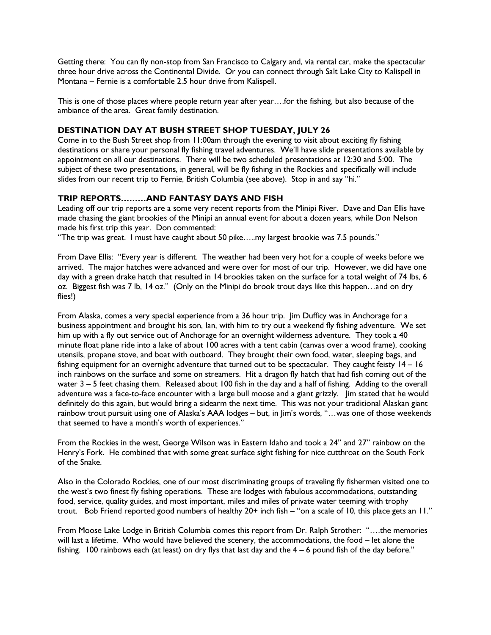Getting there: You can fly non-stop from San Francisco to Calgary and, via rental car, make the spectacular three hour drive across the Continental Divide. Or you can connect through Salt Lake City to Kalispell in Montana – Fernie is a comfortable 2.5 hour drive from Kalispell.

This is one of those places where people return year after year….for the fishing, but also because of the ambiance of the area. Great family destination.

### DESTINATION DAY AT BUSH STREET SHOP TUESDAY, JULY 26

Come in to the Bush Street shop from 11:00am through the evening to visit about exciting fly fishing destinations or share your personal fly fishing travel adventures. We'll have slide presentations available by appointment on all our destinations. There will be two scheduled presentations at 12:30 and 5:00. The subject of these two presentations, in general, will be fly fishing in the Rockies and specifically will include slides from our recent trip to Fernie, British Columbia (see above). Stop in and say "hi."

# TRIP REPORTS………AND FANTASY DAYS AND FISH

Leading off our trip reports are a some very recent reports from the Minipi River. Dave and Dan Ellis have made chasing the giant brookies of the Minipi an annual event for about a dozen years, while Don Nelson made his first trip this year. Don commented:

"The trip was great. I must have caught about 50 pike…..my largest brookie was 7.5 pounds."

From Dave Ellis: "Every year is different. The weather had been very hot for a couple of weeks before we arrived. The major hatches were advanced and were over for most of our trip. However, we did have one day with a green drake hatch that resulted in 14 brookies taken on the surface for a total weight of 74 lbs, 6 oz. Biggest fish was 7 lb, 14 oz." (Only on the Minipi do brook trout days like this happen…and on dry flies!)

From Alaska, comes a very special experience from a 36 hour trip. Jim Dufficy was in Anchorage for a business appointment and brought his son, Ian, with him to try out a weekend fly fishing adventure. We set him up with a fly out service out of Anchorage for an overnight wilderness adventure. They took a 40 minute float plane ride into a lake of about 100 acres with a tent cabin (canvas over a wood frame), cooking utensils, propane stove, and boat with outboard. They brought their own food, water, sleeping bags, and fishing equipment for an overnight adventure that turned out to be spectacular. They caught feisty 14 – 16 inch rainbows on the surface and some on streamers. Hit a dragon fly hatch that had fish coming out of the water 3 – 5 feet chasing them. Released about 100 fish in the day and a half of fishing. Adding to the overall adventure was a face-to-face encounter with a large bull moose and a giant grizzly. Jim stated that he would definitely do this again, but would bring a sidearm the next time. This was not your traditional Alaskan giant rainbow trout pursuit using one of Alaska's AAA lodges – but, in Jim's words, "…was one of those weekends that seemed to have a month's worth of experiences."

From the Rockies in the west, George Wilson was in Eastern Idaho and took a 24" and 27" rainbow on the Henry's Fork. He combined that with some great surface sight fishing for nice cutthroat on the South Fork of the Snake.

Also in the Colorado Rockies, one of our most discriminating groups of traveling fly fishermen visited one to the west's two finest fly fishing operations. These are lodges with fabulous accommodations, outstanding food, service, quality guides, and most important, miles and miles of private water teeming with trophy trout. Bob Friend reported good numbers of healthy 20+ inch fish – "on a scale of 10, this place gets an 11."

From Moose Lake Lodge in British Columbia comes this report from Dr. Ralph Strother: "….the memories will last a lifetime. Who would have believed the scenery, the accommodations, the food – let alone the fishing. 100 rainbows each (at least) on dry flys that last day and the 4 – 6 pound fish of the day before."